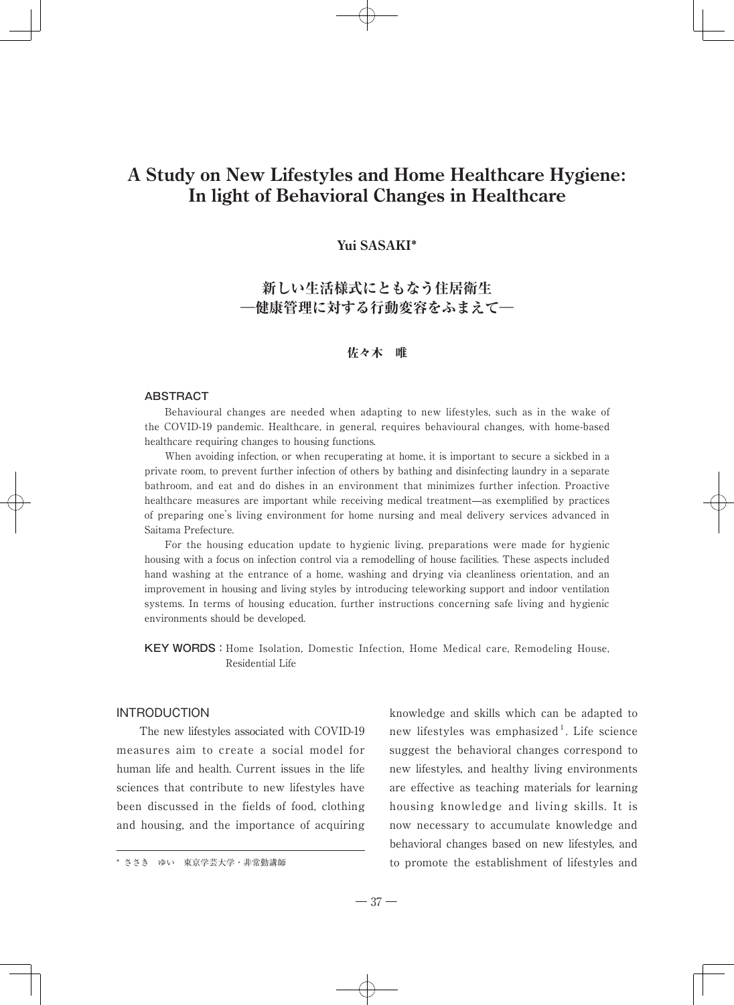# **A Study on New Lifestyles and Home Healthcare Hygiene: In light of Behavioral Changes in Healthcare**

## **Yui SASAKI**\*

# **新しい生活様式にともなう住居衛生** ―**健康管理に対する行動変容をふまえて**―

## 佐々木 唯

#### ABSTRACT

Behavioural changes are needed when adapting to new lifestyles, such as in the wake of the COVID-19 pandemic. Healthcare, in general, requires behavioural changes, with home-based healthcare requiring changes to housing functions.

When avoiding infection, or when recuperating at home, it is important to secure a sickbed in a private room, to prevent further infection of others by bathing and disinfecting laundry in a separate bathroom, and eat and do dishes in an environment that minimizes further infection. Proactive healthcare measures are important while receiving medical treatment—as exemplified by practices of preparing one's living environment for home nursing and meal delivery services advanced in Saitama Prefecture.

For the housing education update to hygienic living, preparations were made for hygienic housing with a focus on infection control via a remodelling of house facilities. These aspects included hand washing at the entrance of a home, washing and drying via cleanliness orientation, and an improvement in housing and living styles by introducing teleworking support and indoor ventilation systems. In terms of housing education, further instructions concerning safe living and hygienic environments should be developed.

KEY WORDS:Home Isolation, Domestic Infection, Home Medical care, Remodeling House, Residential Life

## INTRODUCTION

The new lifestyles associated with COVID-19 measures aim to create a social model for human life and health. Current issues in the life sciences that contribute to new lifestyles have been discussed in the fields of food, clothing and housing, and the importance of acquiring

knowledge and skills which can be adapted to new lifestyles was emphasized<sup>1</sup>. Life science suggest the behavioral changes correspond to new lifestyles, and healthy living environments are effective as teaching materials for learning housing knowledge and living skills. It is now necessary to accumulate knowledge and behavioral changes based on new lifestyles, and \* ささき ゆい 東京学芸大学・非常勤講師 to promote the establishment of lifestyles and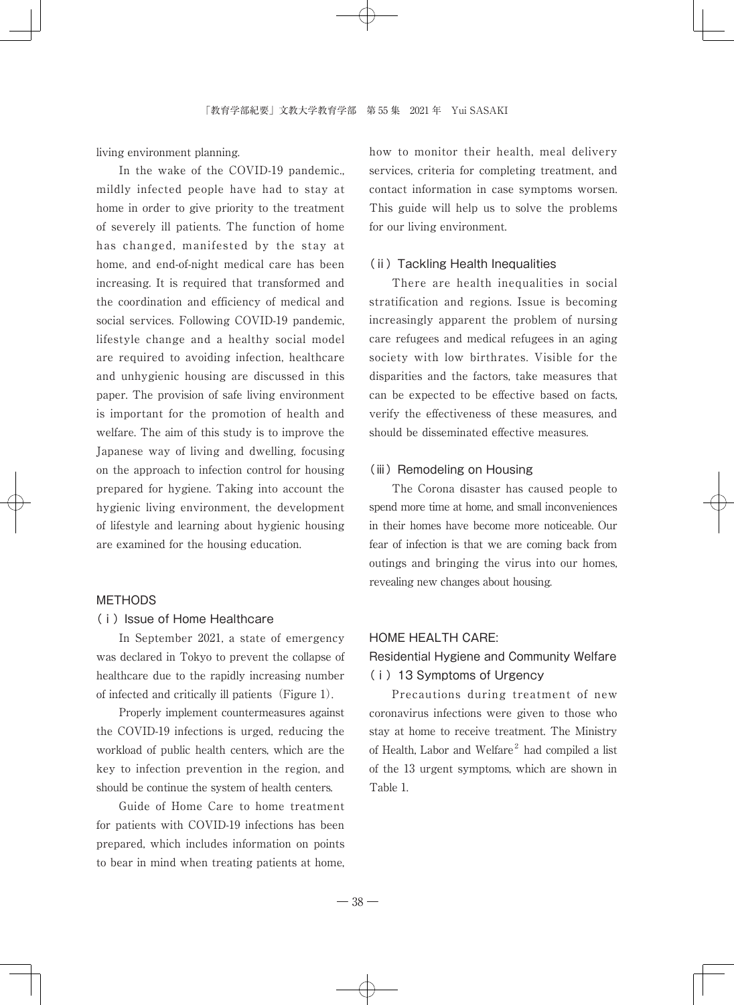living environment planning.

In the wake of the COVID-19 pandemic... mildly infected people have had to stay at home in order to give priority to the treatment of severely ill patients. The function of home has changed, manifested by the stay at home, and end-of-night medical care has been increasing. It is required that transformed and the coordination and efficiency of medical and social services. Following COVID-19 pandemic, lifestyle change and a healthy social model are required to avoiding infection, healthcare and unhygienic housing are discussed in this paper. The provision of safe living environment is important for the promotion of health and welfare. The aim of this study is to improve the Japanese way of living and dwelling, focusing on the approach to infection control for housing prepared for hygiene. Taking into account the hygienic living environment, the development of lifestyle and learning about hygienic housing are examined for the housing education.

## METHODS

#### (ⅰ)Issue of Home Healthcare

In September 2021, a state of emergency was declared in Tokyo to prevent the collapse of healthcare due to the rapidly increasing number of infected and critically ill patients(Figure 1).

Properly implement countermeasures against the COVID-19 infections is urged, reducing the workload of public health centers, which are the key to infection prevention in the region, and should be continue the system of health centers.

Guide of Home Care to home treatment for patients with COVID-19 infections has been prepared, which includes information on points to bear in mind when treating patients at home, how to monitor their health, meal delivery services, criteria for completing treatment, and contact information in case symptoms worsen. This guide will help us to solve the problems for our living environment.

#### (ⅱ)Tackling Health Inequalities

There are health inequalities in social stratification and regions. Issue is becoming increasingly apparent the problem of nursing care refugees and medical refugees in an aging society with low birthrates. Visible for the disparities and the factors, take measures that can be expected to be effective based on facts, verify the effectiveness of these measures, and should be disseminated effective measures.

## (iii) Remodeling on Housing

The Corona disaster has caused people to spend more time at home, and small inconveniences in their homes have become more noticeable. Our fear of infection is that we are coming back from outings and bringing the virus into our homes, revealing new changes about housing.

## HOME HEALTH CARE:

## Residential Hygiene and Community Welfare (ⅰ)13 Symptoms of Urgency

Precautions during treatment of new coronavirus infections were given to those who stay at home to receive treatment. The Ministry of Health, Labor and Welfare<sup>2</sup> had compiled a list of the 13 urgent symptoms, which are shown in Table 1.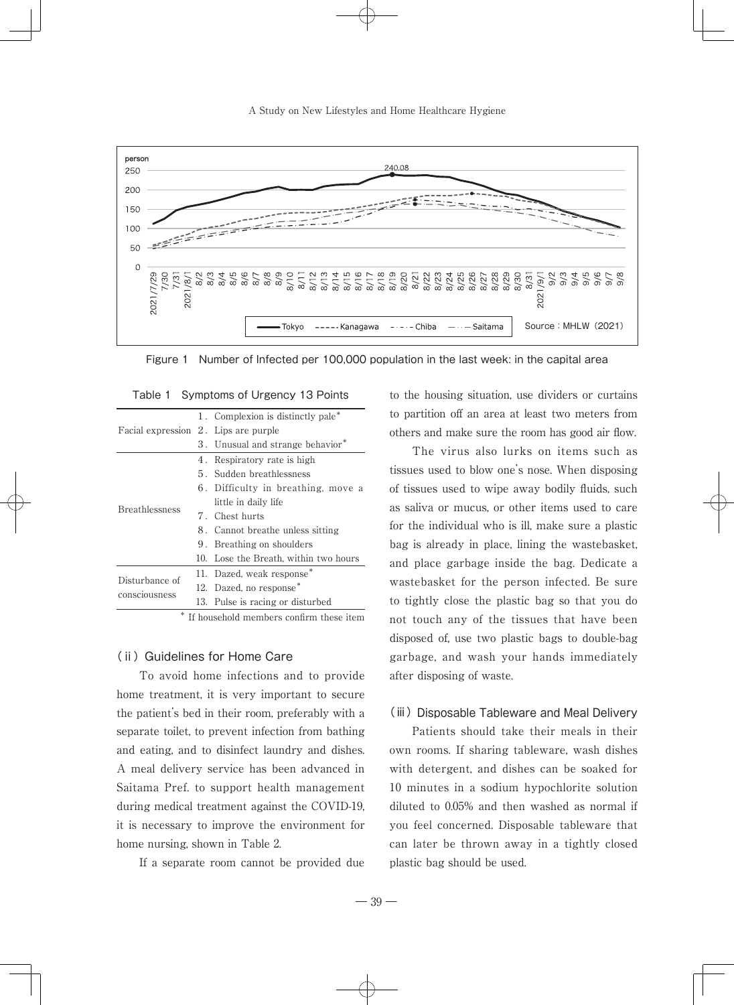A Study on New Lifestyles and Home Healthcare Hygiene



Figure 1 Number of Infected per 100,000 population in the last week: in the capital area

| Facial expression 2. Lips are purple | 1. Complexion is distinctly pale*                                                                                                                                                                                                                                                                                   |
|--------------------------------------|---------------------------------------------------------------------------------------------------------------------------------------------------------------------------------------------------------------------------------------------------------------------------------------------------------------------|
|                                      |                                                                                                                                                                                                                                                                                                                     |
|                                      | 3. Unusual and strange behavior*                                                                                                                                                                                                                                                                                    |
| <b>Breathlessness</b>                | 4. Respiratory rate is high                                                                                                                                                                                                                                                                                         |
|                                      | 5. Sudden breathlessness                                                                                                                                                                                                                                                                                            |
|                                      | 6. Difficulty in breathing, move a                                                                                                                                                                                                                                                                                  |
|                                      | little in daily life                                                                                                                                                                                                                                                                                                |
|                                      | 7. Chest hurts                                                                                                                                                                                                                                                                                                      |
|                                      | 8. Cannot breathe unless sitting                                                                                                                                                                                                                                                                                    |
|                                      | 9. Breathing on shoulders                                                                                                                                                                                                                                                                                           |
|                                      | 10. Lose the Breath, within two hours                                                                                                                                                                                                                                                                               |
| Disturbance of<br>consciousness      | 11. Dazed, weak response*                                                                                                                                                                                                                                                                                           |
|                                      | 12. Dazed, no response <sup>*</sup>                                                                                                                                                                                                                                                                                 |
|                                      | 13. Pulse is racing or disturbed                                                                                                                                                                                                                                                                                    |
|                                      | $\frac{1}{2}$ $\frac{1}{2}$ $\frac{1}{2}$ $\frac{1}{2}$ $\frac{1}{2}$ $\frac{1}{2}$ $\frac{1}{2}$ $\frac{1}{2}$ $\frac{1}{2}$ $\frac{1}{2}$ $\frac{1}{2}$ $\frac{1}{2}$ $\frac{1}{2}$ $\frac{1}{2}$ $\frac{1}{2}$ $\frac{1}{2}$ $\frac{1}{2}$ $\frac{1}{2}$ $\frac{1}{2}$ $\frac{1}{2}$ $\frac{1}{2}$ $\frac{1}{2}$ |

Table 1 Symptoms of Urgency 13 Points

If household members confirm these item

#### (ii) Guidelines for Home Care

To avoid home infections and to provide home treatment, it is very important to secure the patient's bed in their room, preferably with a separate toilet, to prevent infection from bathing and eating, and to disinfect laundry and dishes. A meal delivery service has been advanced in Saitama Pref. to support health management during medical treatment against the COVID-19, it is necessary to improve the environment for home nursing, shown in Table 2.

If a separate room cannot be provided due

to the housing situation, use dividers or curtains to partition off an area at least two meters from others and make sure the room has good air flow.

The virus also lurks on items such as tissues used to blow one's nose. When disposing of tissues used to wipe away bodily fluids, such as saliva or mucus, or other items used to care for the individual who is ill, make sure a plastic bag is already in place, lining the wastebasket, and place garbage inside the bag. Dedicate a wastebasket for the person infected. Be sure to tightly close the plastic bag so that you do not touch any of the tissues that have been disposed of, use two plastic bags to double-bag garbage, and wash your hands immediately after disposing of waste.

#### (iii) Disposable Tableware and Meal Delivery

Patients should take their meals in their own rooms. If sharing tableware, wash dishes with detergent, and dishes can be soaked for 10 minutes in a sodium hypochlorite solution diluted to 0.05% and then washed as normal if you feel concerned. Disposable tableware that can later be thrown away in a tightly closed plastic bag should be used.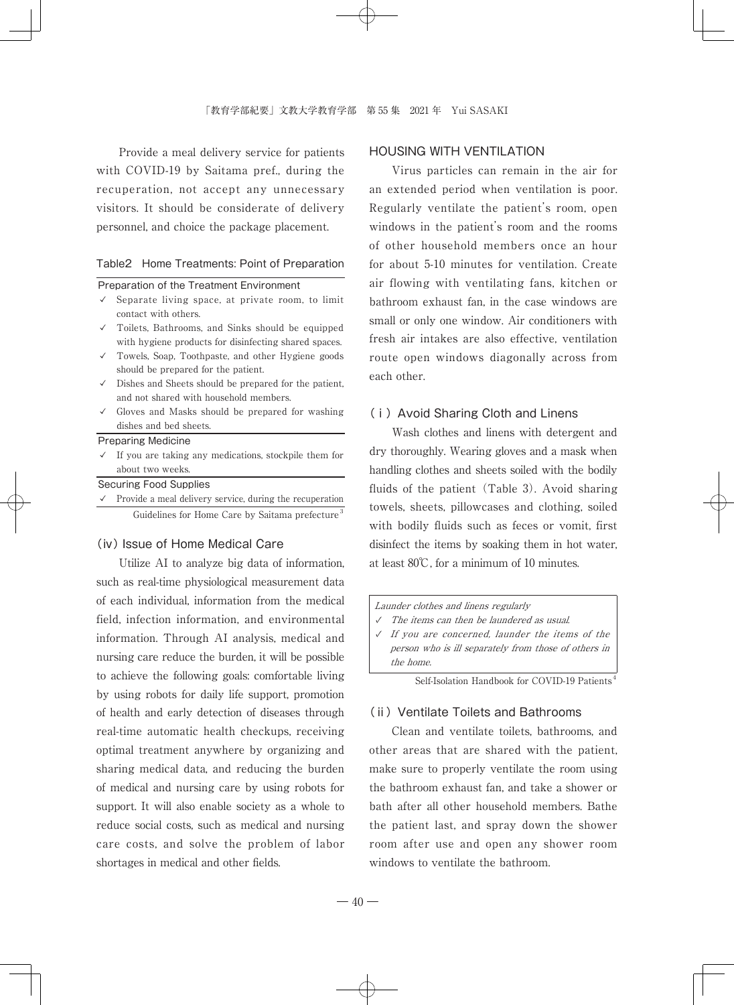Provide a meal delivery service for patients with COVID-19 by Saitama pref., during the recuperation, not accept any unnecessary visitors. It should be considerate of delivery personnel, and choice the package placement.

#### Table2 Home Treatments: Point of Preparation

#### Preparation of the Treatment Environment

 $\checkmark$  Separate living space, at private room, to limit contact with others.

- ✓ Toilets, Bathrooms, and Sinks should be equipped with hygiene products for disinfecting shared spaces.
- ✓ Towels, Soap, Toothpaste, and other Hygiene goods should be prepared for the patient.
- ✓ Dishes and Sheets should be prepared for the patient, and not shared with household members.
- ✓ Gloves and Masks should be prepared for washing dishes and bed sheets.

#### Preparing Medicine

 $\checkmark$  If you are taking any medications, stockpile them for about two weeks.

Securing Food Supplies

✓ Provide a meal delivery service, during the recuperation Guidelines for Home Care by Saitama prefecture<sup>3</sup>

## (ⅳ) Issue of Home Medical Care

Utilize AI to analyze big data of information, such as real-time physiological measurement data of each individual, information from the medical field, infection information, and environmental information. Through AI analysis, medical and nursing care reduce the burden, it will be possible to achieve the following goals: comfortable living by using robots for daily life support, promotion of health and early detection of diseases through real-time automatic health checkups, receiving optimal treatment anywhere by organizing and sharing medical data, and reducing the burden of medical and nursing care by using robots for support. It will also enable society as a whole to reduce social costs, such as medical and nursing care costs, and solve the problem of labor shortages in medical and other fields.

## HOUSING WITH VENTILATION

Virus particles can remain in the air for an extended period when ventilation is poor. Regularly ventilate the patient's room, open windows in the patient's room and the rooms of other household members once an hour for about 5-10 minutes for ventilation. Create air flowing with ventilating fans, kitchen or bathroom exhaust fan, in the case windows are small or only one window. Air conditioners with fresh air intakes are also effective, ventilation route open windows diagonally across from each other.

## (ⅰ)Avoid Sharing Cloth and Linens

Wash clothes and linens with detergent and dry thoroughly. Wearing gloves and a mask when handling clothes and sheets soiled with the bodily fluids of the patient  $(Table 3)$ . Avoid sharing towels, sheets, pillowcases and clothing, soiled with bodily fluids such as feces or vomit, first disinfect the items by soaking them in hot water, at least 80℃, for a minimum of 10 minutes.

Launder clothes and linens regularly

- The items can then be laundered as usual.
- ✓ If you are concerned, launder the items of the person who is ill separately from those of others in the home.

Self-Isolation Handbook for COVID-19 Patients<sup>4</sup>

## (ⅱ)Ventilate Toilets and Bathrooms

Clean and ventilate toilets, bathrooms, and other areas that are shared with the patient, make sure to properly ventilate the room using the bathroom exhaust fan, and take a shower or bath after all other household members. Bathe the patient last, and spray down the shower room after use and open any shower room windows to ventilate the bathroom.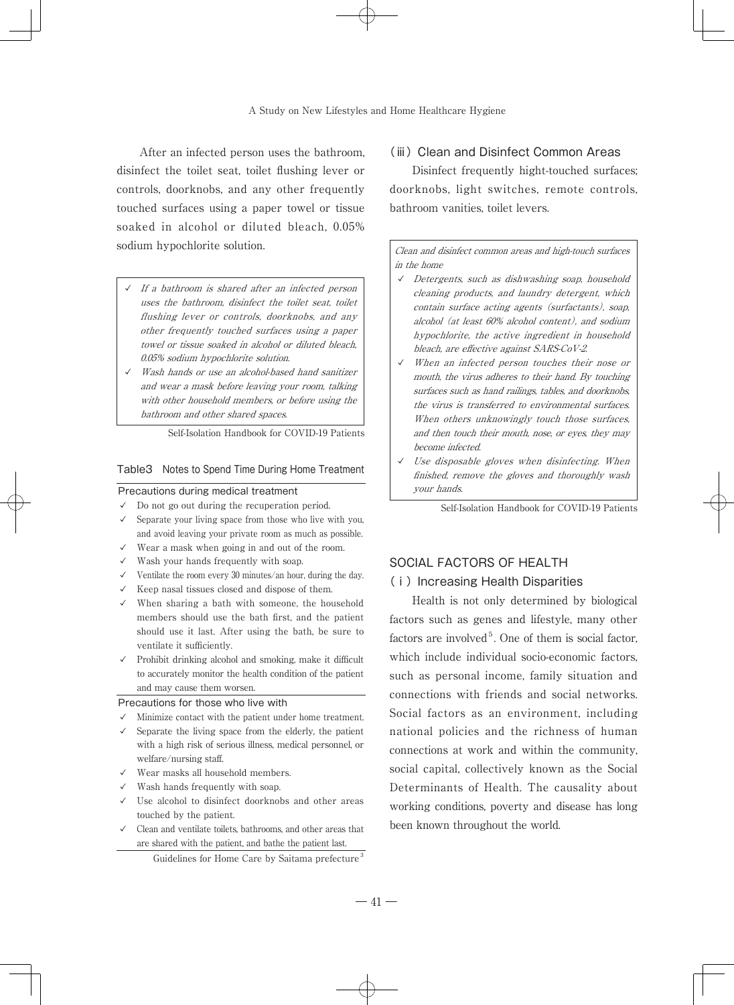After an infected person uses the bathroom, disinfect the toilet seat, toilet flushing lever or controls, doorknobs, and any other frequently touched surfaces using a paper towel or tissue soaked in alcohol or diluted bleach, 0.05% sodium hypochlorite solution.

- If a bathroom is shared after an infected person uses the bathroom, disinfect the toilet seat, toilet flushing lever or controls, doorknobs, and any other frequently touched surfaces using a paper towel or tissue soaked in alcohol or diluted bleach, 0.05% sodium hypochlorite solution.
- ✓ Wash hands or use an alcohol-based hand sanitizer and wear a mask before leaving your room, talking with other household members, or before using the bathroom and other shared spaces.

Self-Isolation Handbook for COVID-19 Patients

#### Table3 Notes to Spend Time During Home Treatment

## Precautions during medical treatment

- $\checkmark$  Do not go out during the recuperation period.
- $\checkmark$  Separate your living space from those who live with you, and avoid leaving your private room as much as possible.
- ✓ Wear a mask when going in and out of the room.
- $\checkmark$  Wash your hands frequently with soap.
- $\checkmark$  Ventilate the room every 30 minutes/an hour, during the day.
- ✓ Keep nasal tissues closed and dispose of them.
- $\checkmark$  When sharing a bath with someone, the household members should use the bath first, and the patient should use it last. After using the bath, be sure to ventilate it sufficiently.
- ✓ Prohibit drinking alcohol and smoking, make it difficult to accurately monitor the health condition of the patient and may cause them worsen.

#### Precautions for those who live with

- ✓ Minimize contact with the patient under home treatment.
- $\checkmark$  Separate the living space from the elderly, the patient with a high risk of serious illness, medical personnel, or welfare/nursing staff.
- ✓ Wear masks all household members.
- ✓ Wash hands frequently with soap.
- ✓ Use alcohol to disinfect doorknobs and other areas touched by the patient.
- ✓ Clean and ventilate toilets, bathrooms, and other areas that are shared with the patient, and bathe the patient last.

## Guidelines for Home Care by Saitama prefecture<sup>3</sup>

## (iii) Clean and Disinfect Common Areas

Disinfect frequently hight-touched surfaces; doorknobs, light switches, remote controls, bathroom vanities, toilet levers.

Clean and disinfect common areas and high-touch surfaces in the home

- ✓ Detergents, such as dishwashing soap, household cleaning products, and laundry detergent, which contain surface acting agents (surfactants), soap, alcohol (at least 60% alcohol content), and sodium hypochlorite, the active ingredient in household bleach, are effective against SARS-CoV-2.
- ✓ When an infected person touches their nose or mouth, the virus adheres to their hand. By touching surfaces such as hand railings, tables, and doorknobs, the virus is transferred to environmental surfaces. When others unknowingly touch those surfaces, and then touch their mouth, nose, or eyes, they may become infected.
- $\checkmark$  Use disposable gloves when disinfecting. When finished, remove the gloves and thoroughly wash your hands.

Self-Isolation Handbook for COVID-19 Patients

## SOCIAL FACTORS OF HEALTH

## (ⅰ)Increasing Health Disparities

Health is not only determined by biological factors such as genes and lifestyle, many other factors are involved<sup>5</sup>. One of them is social factor, which include individual socio-economic factors, such as personal income, family situation and connections with friends and social networks. Social factors as an environment, including national policies and the richness of human connections at work and within the community, social capital, collectively known as the Social Determinants of Health. The causality about working conditions, poverty and disease has long been known throughout the world.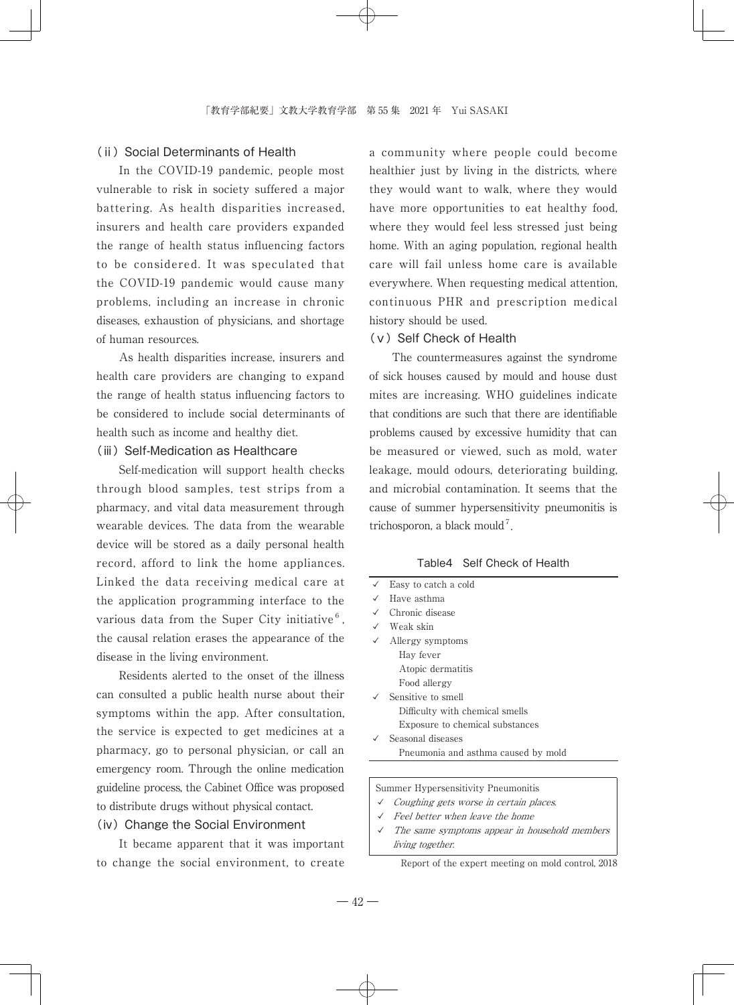## (ii) Social Determinants of Health

In the COVID-19 pandemic, people most vulnerable to risk in society suffered a major battering. As health disparities increased, insurers and health care providers expanded the range of health status influencing factors to be considered. It was speculated that the COVID-19 pandemic would cause many problems, including an increase in chronic diseases, exhaustion of physicians, and shortage of human resources.

As health disparities increase, insurers and health care providers are changing to expand the range of health status influencing factors to be considered to include social determinants of health such as income and healthy diet.

## (iii) Self-Medication as Healthcare

Self-medication will support health checks through blood samples, test strips from a pharmacy, and vital data measurement through wearable devices. The data from the wearable device will be stored as a daily personal health record, afford to link the home appliances. Linked the data receiving medical care at the application programming interface to the various data from the Super City initiative $<sup>6</sup>$ ,</sup> the causal relation erases the appearance of the disease in the living environment.

Residents alerted to the onset of the illness can consulted a public health nurse about their symptoms within the app. After consultation, the service is expected to get medicines at a pharmacy, go to personal physician, or call an emergency room. Through the online medication guideline process, the Cabinet Office was proposed to distribute drugs without physical contact.

## (ⅳ)Change the Social Environment

It became apparent that it was important to change the social environment, to create a community where people could become healthier just by living in the districts, where they would want to walk, where they would have more opportunities to eat healthy food, where they would feel less stressed just being home. With an aging population, regional health care will fail unless home care is available everywhere. When requesting medical attention, continuous PHR and prescription medical history should be used.

## (ⅴ)Self Check of Health

The countermeasures against the syndrome of sick houses caused by mould and house dust mites are increasing. WHO guidelines indicate that conditions are such that there are identifiable problems caused by excessive humidity that can be measured or viewed, such as mold, water leakage, mould odours, deteriorating building, and microbial contamination. It seems that the cause of summer hypersensitivity pneumonitis is trichosporon, a black mould<sup>7</sup>.

## Table4 Self Check of Health

| Easy to catch a cold                |
|-------------------------------------|
| Have asthma                         |
| Chronic disease                     |
| ✓ Weak skin                         |
| Allergy symptoms                    |
| Hay fever                           |
| Atopic dermatitis                   |
| Food allergy                        |
| Sensitive to smell                  |
| Difficulty with chemical smells     |
| Exposure to chemical substances     |
| Seasonal diseases                   |
| Pneumonia and asthma caused by mold |

Summer Hypersensitivity Pneumonitis

- ✓ Coughing gets worse in certain places.
- Feel better when leave the home
- ✓ The same symptoms appear in household members living together.

Report of the expert meeting on mold control, 2018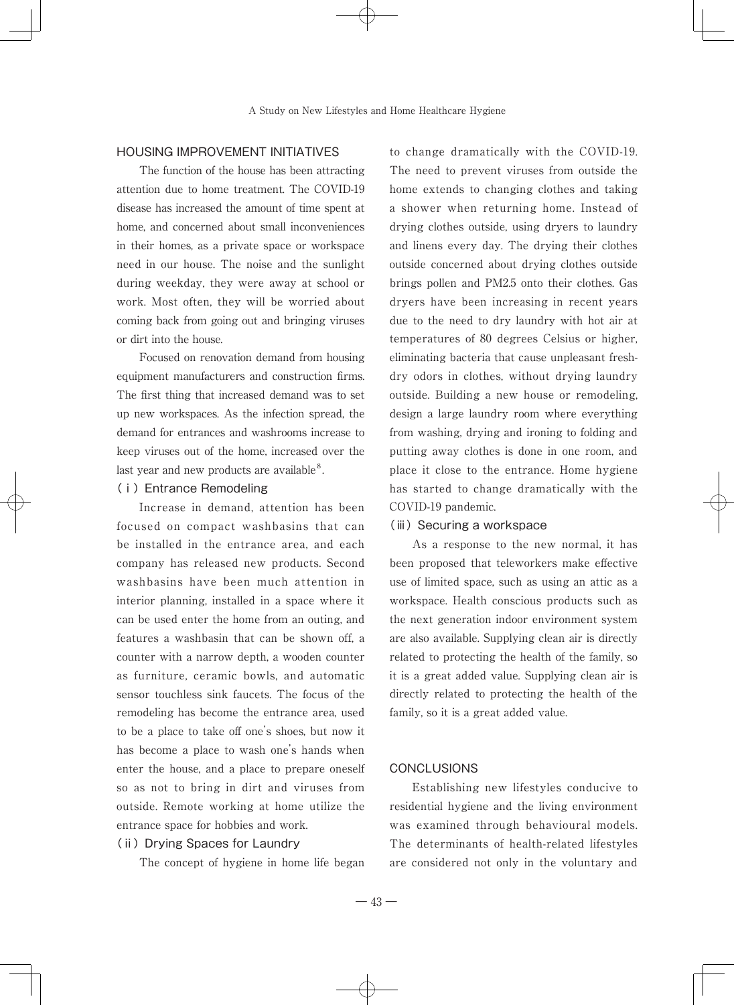## HOUSING IMPROVEMENT INITIATIVES

The function of the house has been attracting attention due to home treatment. The COVID-19 disease has increased the amount of time spent at home, and concerned about small inconveniences in their homes, as a private space or workspace need in our house. The noise and the sunlight during weekday, they were away at school or work. Most often, they will be worried about coming back from going out and bringing viruses or dirt into the house.

Focused on renovation demand from housing equipment manufacturers and construction firms. The first thing that increased demand was to set up new workspaces. As the infection spread, the demand for entrances and washrooms increase to keep viruses out of the home, increased over the last year and new products are available $8$ .

## (ⅰ)Entrance Remodeling

Increase in demand, attention has been focused on compact washbasins that can be installed in the entrance area, and each company has released new products. Second washbasins have been much attention in interior planning, installed in a space where it can be used enter the home from an outing, and features a washbasin that can be shown off, a counter with a narrow depth, a wooden counter as furniture, ceramic bowls, and automatic sensor touchless sink faucets. The focus of the remodeling has become the entrance area, used to be a place to take off one's shoes, but now it has become a place to wash one's hands when enter the house, and a place to prepare oneself so as not to bring in dirt and viruses from outside. Remote working at home utilize the entrance space for hobbies and work.

## (ii) Drying Spaces for Laundry

The concept of hygiene in home life began

to change dramatically with the COVID-19. The need to prevent viruses from outside the home extends to changing clothes and taking a shower when returning home. Instead of drying clothes outside, using dryers to laundry and linens every day. The drying their clothes outside concerned about drying clothes outside brings pollen and PM2.5 onto their clothes. Gas dryers have been increasing in recent years due to the need to dry laundry with hot air at temperatures of 80 degrees Celsius or higher, eliminating bacteria that cause unpleasant freshdry odors in clothes, without drying laundry outside. Building a new house or remodeling, design a large laundry room where everything from washing, drying and ironing to folding and putting away clothes is done in one room, and place it close to the entrance. Home hygiene has started to change dramatically with the COVID-19 pandemic.

#### (iii) Securing a workspace

As a response to the new normal, it has been proposed that teleworkers make effective use of limited space, such as using an attic as a workspace. Health conscious products such as the next generation indoor environment system are also available. Supplying clean air is directly related to protecting the health of the family, so it is a great added value. Supplying clean air is directly related to protecting the health of the family, so it is a great added value.

## **CONCLUSIONS**

Establishing new lifestyles conducive to residential hygiene and the living environment was examined through behavioural models. The determinants of health-related lifestyles are considered not only in the voluntary and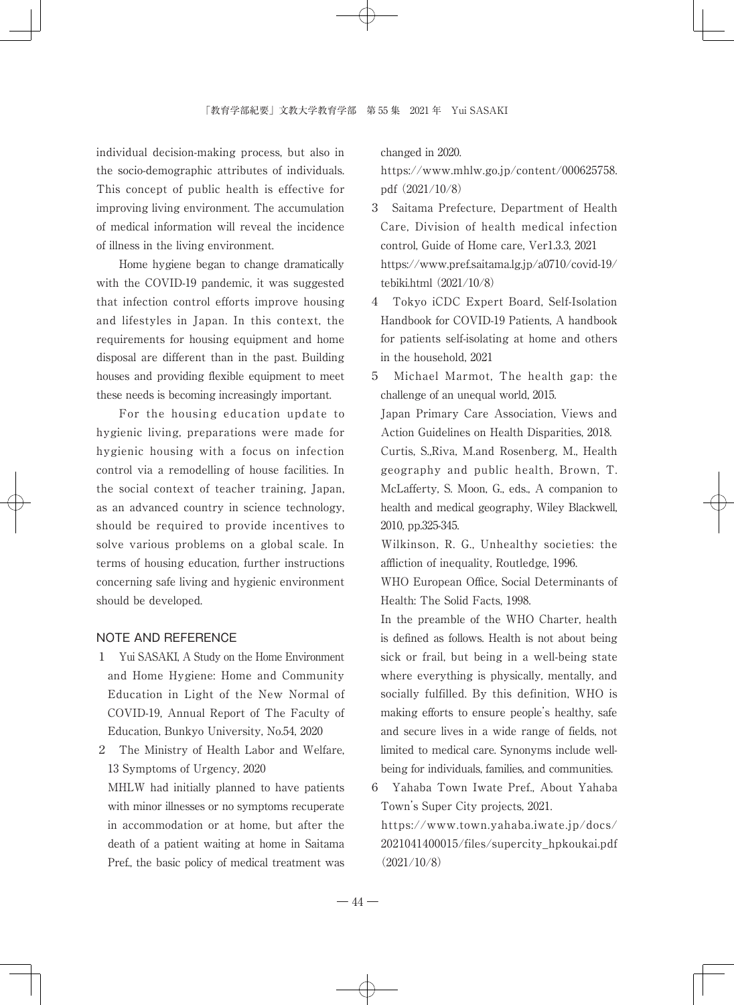individual decision-making process, but also in the socio-demographic attributes of individuals. This concept of public health is effective for improving living environment. The accumulation of medical information will reveal the incidence of illness in the living environment.

Home hygiene began to change dramatically with the COVID-19 pandemic, it was suggested that infection control efforts improve housing and lifestyles in Japan. In this context, the requirements for housing equipment and home disposal are different than in the past. Building houses and providing flexible equipment to meet these needs is becoming increasingly important.

For the housing education update to hygienic living, preparations were made for hygienic housing with a focus on infection control via a remodelling of house facilities. In the social context of teacher training, Japan, as an advanced country in science technology, should be required to provide incentives to solve various problems on a global scale. In terms of housing education, further instructions concerning safe living and hygienic environment should be developed.

## NOTE AND REFERENCE

- 1 Yui SASAKI, A Study on the Home Environment and Home Hygiene: Home and Community Education in Light of the New Normal of COVID-19, Annual Report of The Faculty of Education, Bunkyo University, No.54, 2020
- 2 The Ministry of Health Labor and Welfare, 13 Symptoms of Urgency, 2020 MHLW had initially planned to have patients

with minor illnesses or no symptoms recuperate in accommodation or at home, but after the death of a patient waiting at home in Saitama Pref., the basic policy of medical treatment was changed in 2020.

 https://www.mhlw.go.jp/content/000625758. pdf (2021/10/8)

- 3 Saitama Prefecture, Department of Health Care, Division of health medical infection control, Guide of Home care, Ver1.3.3, 2021 https://www.pref.saitama.lg.jp/a0710/covid-19/ tebiki.html (2021/10/8)
- 4 Tokyo iCDC Expert Board, Self-Isolation Handbook for COVID-19 Patients, A handbook for patients self-isolating at home and others in the household, 2021
- 5 Michael Marmot, The health gap: the challenge of an unequal world, 2015.

 Japan Primary Care Association, Views and Action Guidelines on Health Disparities, 2018. Curtis, S.,Riva, M.and Rosenberg, M., Health geography and public health, Brown, T. McLafferty, S. Moon, G., eds., A companion to health and medical geography, Wiley Blackwell, 2010, pp.325-345.

 Wilkinson, R. G., Unhealthy societies: the affliction of inequality, Routledge, 1996.

 WHO European Office, Social Determinants of Health: The Solid Facts, 1998.

- In the preamble of the WHO Charter, health is defined as follows. Health is not about being sick or frail, but being in a well-being state where everything is physically, mentally, and socially fulfilled. By this definition, WHO is making efforts to ensure people's healthy, safe and secure lives in a wide range of fields, not limited to medical care. Synonyms include wellbeing for individuals, families, and communities.
- 6 Yahaba Town Iwate Pref., About Yahaba Town's Super City projects, 2021.

 https://www.town.yahaba.iwate.jp/docs/ 2021041400015/files/supercity\_hpkoukai.pdf (2021/10/8)